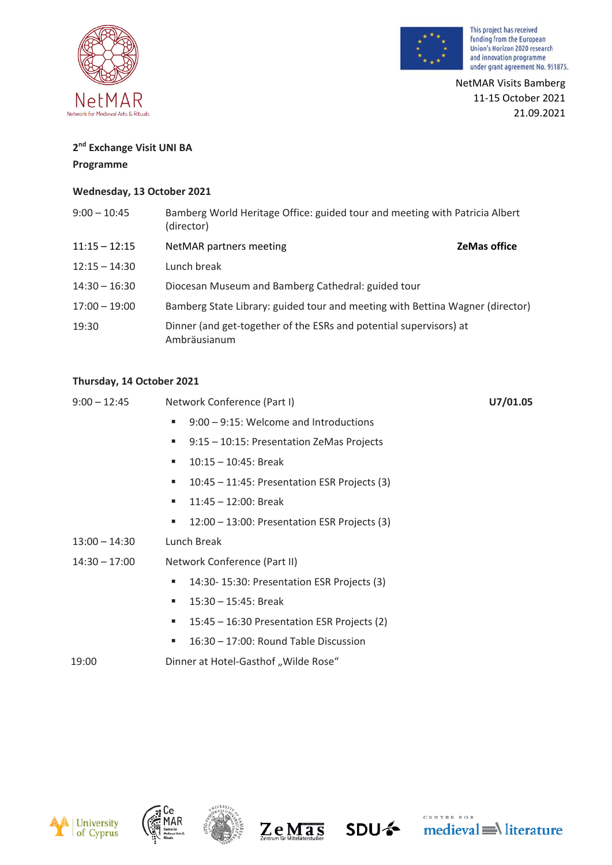



NetMAR Visits Bamberg 11-15 October 2021 21.09.2021

# **2 nd Exchange Visit UNI BA**

#### **Programme**

## **Wednesday, 13 October 2021**

| $9:00 - 10:45$  | Bamberg World Heritage Office: guided tour and meeting with Patricia Albert<br>(director) |                     |
|-----------------|-------------------------------------------------------------------------------------------|---------------------|
| $11:15 - 12:15$ | NetMAR partners meeting                                                                   | <b>ZeMas office</b> |
| $12:15 - 14:30$ | Lunch break                                                                               |                     |
| $14:30 - 16:30$ | Diocesan Museum and Bamberg Cathedral: guided tour                                        |                     |
| $17:00 - 19:00$ | Bamberg State Library: guided tour and meeting with Bettina Wagner (director)             |                     |
| 19:30           | Dinner (and get-together of the ESRs and potential supervisors) at<br>Ambräusianum        |                     |

## **Thursday, 14 October 2021**

| $9:00 - 12:45$  | Network Conference (Part I)                          | U7/01.05 |
|-----------------|------------------------------------------------------|----------|
|                 | $9:00 - 9:15$ : Welcome and Introductions<br>ш       |          |
|                 | 9:15 - 10:15: Presentation ZeMas Projects<br>ш       |          |
|                 | $10:15 - 10:45$ : Break<br>п                         |          |
|                 | $10:45 - 11:45$ : Presentation ESR Projects (3)<br>ш |          |
|                 | $11:45 - 12:00$ : Break<br>ш                         |          |
|                 | 12:00 - 13:00: Presentation ESR Projects (3)<br>ш    |          |
| $13:00 - 14:30$ | Lunch Break                                          |          |
| $14:30 - 17:00$ | Network Conference (Part II)                         |          |
|                 | 14:30-15:30: Presentation ESR Projects (3)<br>ш      |          |
|                 | $15:30 - 15:45$ : Break<br>٠                         |          |
|                 | 15:45 - 16:30 Presentation ESR Projects (2)<br>ш     |          |
|                 | 16:30 - 17:00: Round Table Discussion<br>п           |          |
| 19:00           | Dinner at Hotel-Gasthof "Wilde Rose"                 |          |







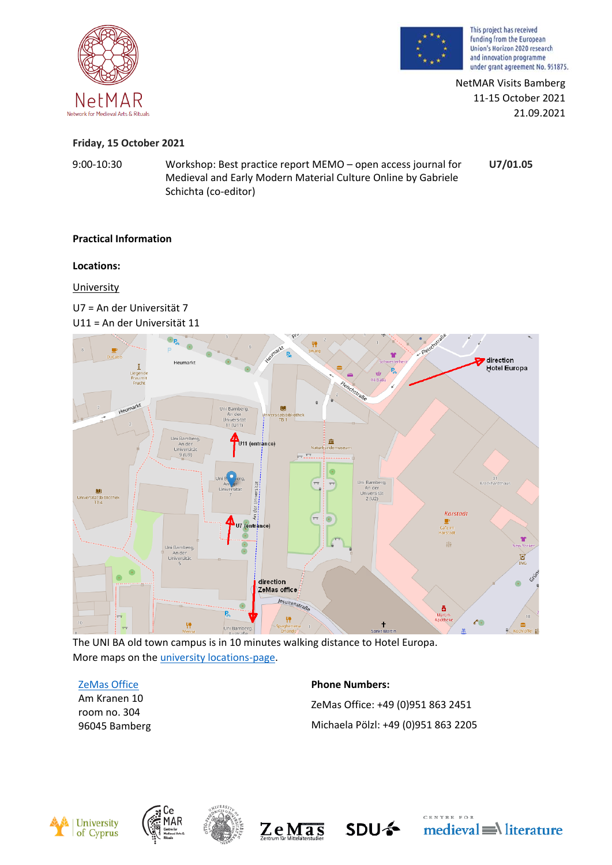



NetMAR Visits Bamberg 11-15 October 2021 21.09.2021

## **Friday, 15 October 2021**

9:00-10:30 Workshop: Best practice report MEMO – open access journal for Medieval and Early Modern Material Culture Online by Gabriele Schichta (co-editor) **U7/01.05**

# **Practical Information**

## **Locations:**

University

U7 = An der Universität 7 U11 = An der Universität 11



The UNI BA old town campus is in 10 minutes walking distance to Hotel Europa. More maps on the [university locations-page.](https://www.uni-bamberg.de/en/university/directions/university-locations/?L=2)

## [ZeMas Office](https://www.uni-bamberg.de/en/university/directions/am-kranen-10-kr10/?L=2)

Am Kranen 10 room no. 304 96045 Bamberg **Phone Numbers:** ZeMas Office: +49 (0)951 863 2451 Michaela Pölzl: +49 (0)951 863 2205